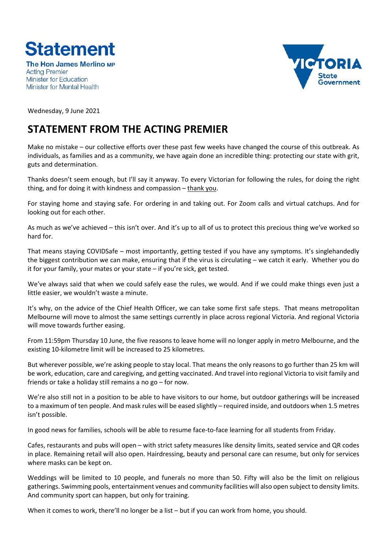

The Hon James Merlino MP **Acting Premier Minister for Education** Minister for Mental Health



Wednesday, 9 June 2021

## **STATEMENT FROM THE ACTING PREMIER**

Make no mistake – our collective efforts over these past few weeks have changed the course of this outbreak. As individuals, as families and as a community, we have again done an incredible thing: protecting our state with grit, guts and determination.

Thanks doesn't seem enough, but I'll say it anyway. To every Victorian for following the rules, for doing the right thing, and for doing it with kindness and compassion – thank you.

For staying home and staying safe. For ordering in and taking out. For Zoom calls and virtual catchups. And for looking out for each other.

As much as we've achieved – this isn't over. And it's up to all of us to protect this precious thing we've worked so hard for.

That means staying COVIDSafe – most importantly, getting tested if you have any symptoms. It's singlehandedly the biggest contribution we can make, ensuring that if the virus is circulating – we catch it early. Whether you do it for your family, your mates or your state – if you're sick, get tested.

We've always said that when we could safely ease the rules, we would. And if we could make things even just a little easier, we wouldn't waste a minute.

It's why, on the advice of the Chief Health Officer, we can take some first safe steps. That means metropolitan Melbourne will move to almost the same settings currently in place across regional Victoria. And regional Victoria will move towards further easing.

From 11:59pm Thursday 10 June, the five reasons to leave home will no longer apply in metro Melbourne, and the existing 10-kilometre limit will be increased to 25 kilometres.

But wherever possible, we're asking people to stay local. That means the only reasons to go further than 25 km will be work, education, care and caregiving, and getting vaccinated. And travel into regional Victoria to visit family and friends or take a holiday still remains a no go – for now.

We're also still not in a position to be able to have visitors to our home, but outdoor gatherings will be increased to a maximum of ten people. And mask rules will be eased slightly – required inside, and outdoors when 1.5 metres isn't possible.

In good news for families, schools will be able to resume face-to-face learning for all students from Friday.

Cafes, restaurants and pubs will open – with strict safety measures like density limits, seated service and QR codes in place. Remaining retail will also open. Hairdressing, beauty and personal care can resume, but only for services where masks can be kept on.

Weddings will be limited to 10 people, and funerals no more than 50. Fifty will also be the limit on religious gatherings. Swimming pools, entertainment venues and community facilities will also open subject to density limits. And community sport can happen, but only for training.

When it comes to work, there'll no longer be a list – but if you can work from home, you should.